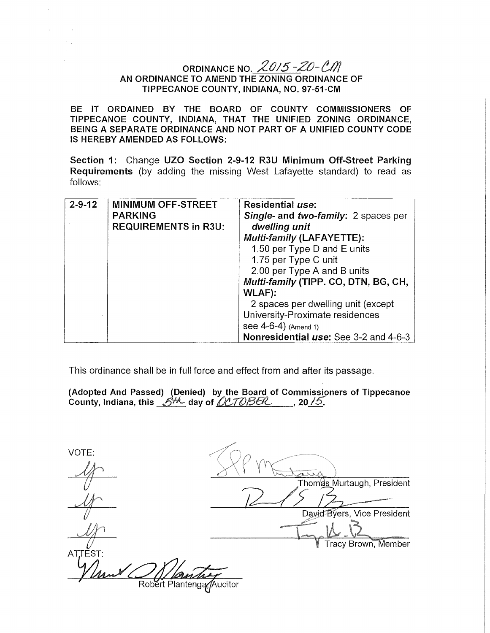# ORDINANCE NO.  $2015 - 20 - CM$ AN ORDINANCE TO AMEND THE ZONING ORDINANCE OF TIPPECANOE COUNTY, INDIANA, NO. 97-51-CM

BE IT ORDAINED BY THE BOARD OF COUNTY COMMISSIONERS OF TIPPECANOE COUNTY, INDIANA, THAT THE UNIFIED ZONING ORDINANCE, BEING A SEPARATE ORDINANCE AND NOT PART OF A UNIFIED COUNTY CODE IS HEREBY AMENDED AS FOLLOWS:

Section 1: Change UZO Section 2-9-12 R3U Minimum Off-Street Parking Requirements (by adding the missing West Lafayette standard) to read as follows:

| $2 - 9 - 12$ | <b>MINIMUM OFF-STREET</b><br><b>PARKING</b><br><b>REQUIREMENTS in R3U:</b> | Residential use:<br>Single- and two-family: 2 spaces per<br>dwelling unit<br><b>Multi-family (LAFAYETTE):</b><br>1.50 per Type D and E units<br>1.75 per Type C unit                                                              |
|--------------|----------------------------------------------------------------------------|-----------------------------------------------------------------------------------------------------------------------------------------------------------------------------------------------------------------------------------|
|              |                                                                            | 2.00 per Type A and B units<br>Multi-family (TIPP. CO, DTN, BG, CH,<br><b>WLAF):</b><br>2 spaces per dwelling unit (except<br>University-Proximate residences<br>see $4-6-4$ ) (Amend 1)<br>Nonresidential use: See 3-2 and 4-6-3 |

This ordinance shall be in full force and effect from and after its passage.

(Adopted And Passed) (Denied) by the Board of Commissioners of Tippecanoe<br>County, Indiana, this <u>..グル</u> day of *<u>()CTOBER</u>\_\_\_\_\_*, 20<u>./5</u>.

VOTE: Thoma<u>s</u> Murtaugh, President  $\frac{y}{y}$ David Byers, Vice President Tracy Brown, Member *+* ATTEST: Robert Plantenga Auditor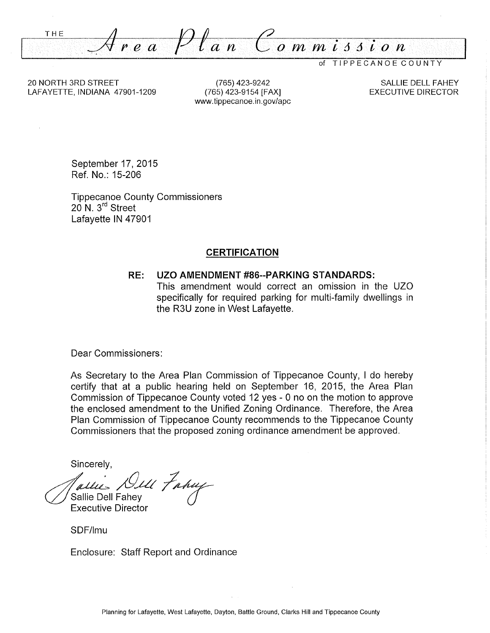THE *ea* Pf *an Commi66ion* 

of TIPPECANOE COUNTY

20 NORTH 3RD STREET LAFAYETTE, INDIANA 47901-1209

(765) 423-9242 (765) 423-9154 [FAX] www.tippecanoe.in.gov/apc

SALLIE DELL FAHEY EXECUTIVE DIRECTOR

September 17, 2015 Ref. No.: 15-206

Tippecanoe County Commissioners 20 N. 3<sup>rd</sup> Street Lafayette IN 47901

### **CERTIFICATION**

#### **RE: UZO AMENDMENT #86--PARKING STANDARDS:**

This amendment would correct an omission in the UZO specifically for required parking for multi-family dwellings in the R3U zone in West Lafayette.

Dear Commissioners:

As Secretary to the Area Plan Commission of Tippecanoe County, I do hereby certify that at a public hearing held on September 16, 2015, the Area Plan Commission of Tippecanoe County voted 12 yes - 0 no on the motion to approve the enclosed amendment to the Unified Zoning Ordinance. Therefore, the Area Plan Commission of Tippecanoe County recommends to the Tippecanoe County Commissioners that the proposed zoning ordinance amendment be approved.

Sincerely,

*Aultie, DILL Frany*<br>Sallie Dell Fahey<br>Executive Director

SDF/lmu

Enclosure: Staff Report and Ordinance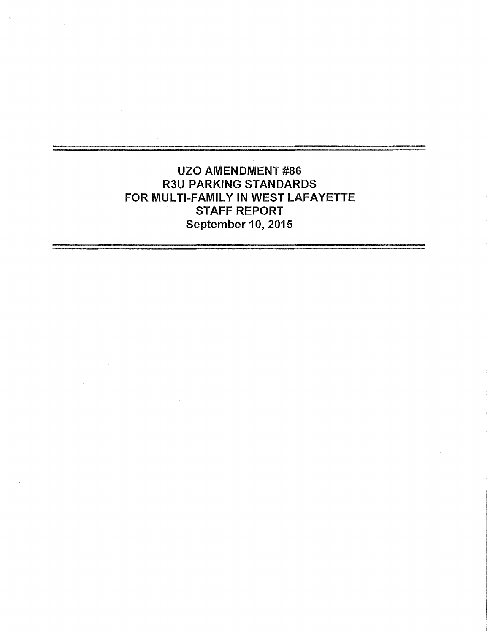UZO AMENDMENT #86 R3U PARKING STANDARDS FOR MULTI-FAMILY IN WEST LAFAYETTE STAFF REPORT September 10, 2015

 $\sim 10^{-1}$